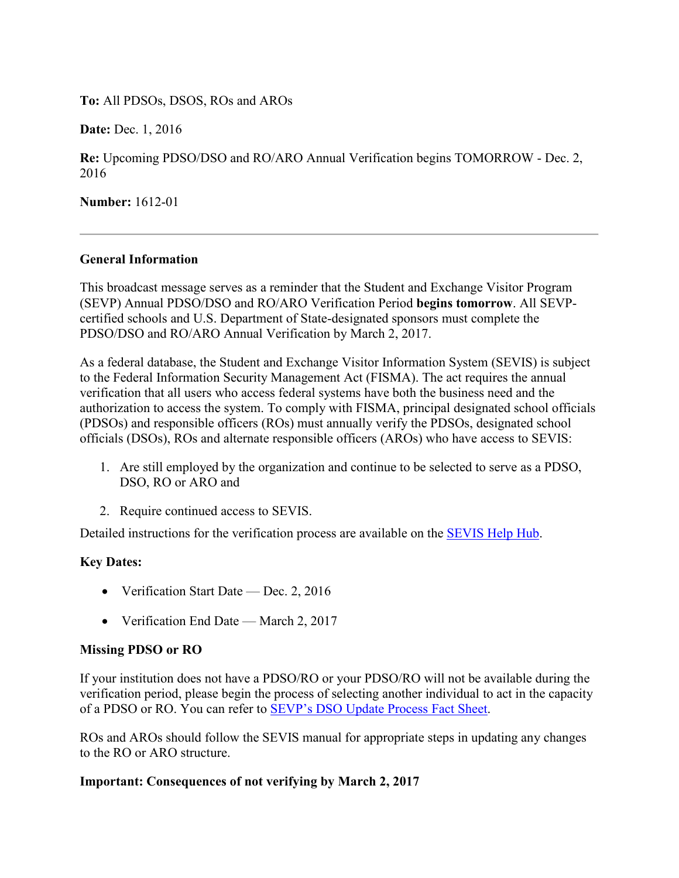**To:** All PDSOs, DSOS, ROs and AROs

**Date: Dec. 1, 2016** 

**Re:** Upcoming PDSO/DSO and RO/ARO Annual Verification begins TOMORROW - Dec. 2, 2016

**Number:** 1612-01

### **General Information**

This broadcast message serves as a reminder that the Student and Exchange Visitor Program (SEVP) Annual PDSO/DSO and RO/ARO Verification Period **begins tomorrow**. All SEVPcertified schools and U.S. Department of State-designated sponsors must complete the PDSO/DSO and RO/ARO Annual Verification by March 2, 2017.

As a federal database, the Student and Exchange Visitor Information System (SEVIS) is subject to the Federal Information Security Management Act (FISMA). The act requires the annual verification that all users who access federal systems have both the business need and the authorization to access the system. To comply with FISMA, principal designated school officials (PDSOs) and responsible officers (ROs) must annually verify the PDSOs, designated school officials (DSOs), ROs and alternate responsible officers (AROs) who have access to SEVIS:

- 1. Are still employed by the organization and continue to be selected to serve as a PDSO, DSO, RO or ARO and
- 2. Require continued access to SEVIS.

Detailed instructions for the verification process are available on the [SEVIS Help Hub.](https://studyinthestates.dhs.gov/sevis-help-hub/update-records/manage-school-records/pdsodso-annual-verification)

# **Key Dates:**

- Verification Start Date Dec. 2, 2016
- Verification End Date March 2, 2017

# **Missing PDSO or RO**

If your institution does not have a PDSO/RO or your PDSO/RO will not be available during the verification period, please begin the process of selecting another individual to act in the capacity of a PDSO or RO. You can refer to [SEVP's DSO Update Process Fact Sheet.](https://www.ice.gov/doclib/sevis/pdf/factSheetDsoSubmissions.pdf)

ROs and AROs should follow the SEVIS manual for appropriate steps in updating any changes to the RO or ARO structure.

# **Important: Consequences of not verifying by March 2, 2017**